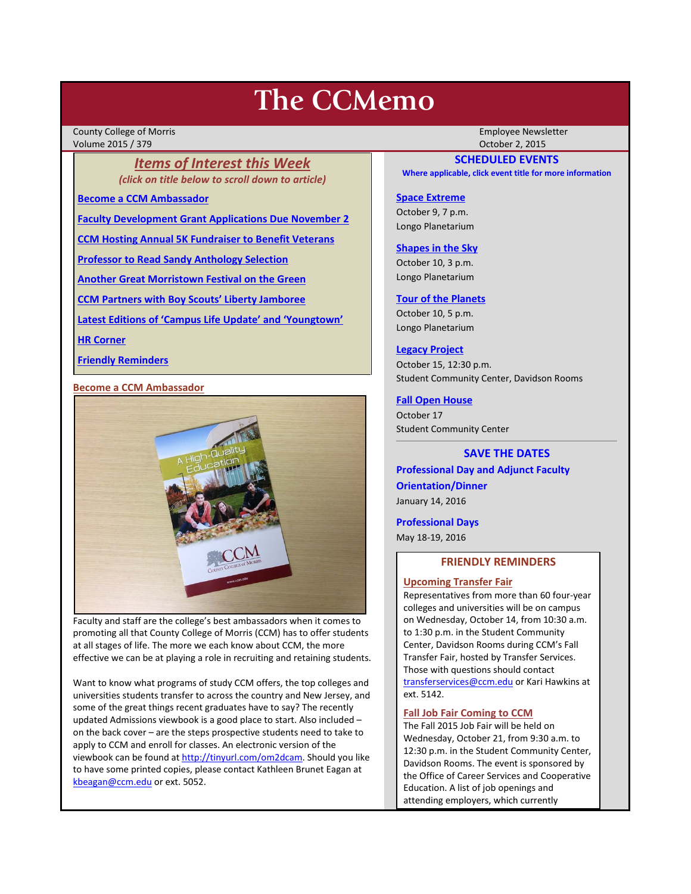# **The CCMemo**

County College of Morris Employee Newsletter Volume 2015 / 379 October 2, 2015

*Items of Interest this Week (click on title below to scroll down to article)*

**[Become a CCM Ambassador](#page-0-0)**

**[Faculty Development Grant Applications Due November 2](#page-1-0)**

**[CCM Hosting Annual 5K Fundraiser to Benefit Veterans](#page-1-1)**

**[Professor to Read Sandy Anthology Selection](#page-1-2)**

**[Another Great Morristown Festival on the Green](#page-1-3)**

**[CCM Partners with Boy Scouts' Liberty Jamboree](#page-2-0)**

**[Latest Editions of 'Campus Life Update' and 'Youngtown'](#page-2-1)**

**[HR Corner](#page-2-2)**

**[Friendly Reminders](#page-0-1)**

## <span id="page-0-0"></span>**Become a CCM Ambassador**



Faculty and staff are the college's best ambassadors when it comes to promoting all that County College of Morris (CCM) has to offer students at all stages of life. The more we each know about CCM, the more effective we can be at playing a role in recruiting and retaining students.

Want to know what programs of study CCM offers, the top colleges and universities students transfer to across the country and New Jersey, and some of the great things recent graduates have to say? The recently updated Admissions viewbook is a good place to start. Also included – on the back cover – are the steps prospective students need to take to apply to CCM and enroll for classes. An electronic version of the viewbook can be found a[t http://tinyurl.com/om2dcam.](http://tinyurl.com/om2dcam) Should you like to have some printed copies, please contact Kathleen Brunet Eagan at [kbeagan@ccm.edu](mailto:kbeagan@ccm.edu) or ext. 5052.

# **SCHEDULED EVENTS**

**Where applicable, click event title for more information**

# **[Space Extreme](http://www.ccm.edu/newsEvents/eventDetails.aspx?Channel=/Channels/Sitewide&WorkflowItemID=1874a4b0-0bcb-4ed1-a29e-7b4f8d25e45d)**

October 9, 7 p.m. Longo Planetarium

#### **[Shapes in the Sky](http://www.ccm.edu/newsEvents/eventDetails.aspx?Channel=/Channels/Sitewide&WorkflowItemID=1922c928-86d3-4e75-b6a2-fd618033989c)**

October 10, 3 p.m. Longo Planetarium

#### **[Tour of the Planets](http://www.ccm.edu/newsEvents/eventDetails.aspx?Channel=/Channels/Sitewide&WorkflowItemID=5834aa20-68ba-4fa2-a3ac-75b2311ba441)**

October 10, 5 p.m. Longo Planetarium

#### **[Legacy Project](http://www.ccm.edu/newsEvents/newsDetails.aspx?Channel=%2fChannels%2fSitewide&WorkflowItemID=5bd94e22-efe8-4288-bb43-aa5783b26c61)**

October 15, 12:30 p.m. Student Community Center, Davidson Rooms

#### **[Fall Open House](http://www.ccm.edu/newsEvents/newsDetails.aspx?Channel=%2fChannels%2fSitewide&WorkflowItemID=a1cea02d-b22e-4024-86b7-ce41a9677b56)**

October 17 Student Community Center

# **SAVE THE DATES**

**Professional Day and Adjunct Faculty Orientation/Dinner** January 14, 2016

**Professional Days** May 18-19, 2016

# **FRIENDLY REMINDERS**

#### <span id="page-0-1"></span>**Upcoming Transfer Fair**

Representatives from more than 60 four-year colleges and universities will be on campus on Wednesday, October 14, from 10:30 a.m. to 1:30 p.m. in the Student Community Center, Davidson Rooms during CCM's Fall Transfer Fair, hosted by Transfer Services. Those with questions should contact [transferservices@ccm.edu](mailto:transferservices@ccm.edu) or Kari Hawkins at ext. 5142.

### **Fall Job Fair Coming to CCM**

The Fall 2015 Job Fair will be held on Wednesday, October 21, from 9:30 a.m. to 12:30 p.m. in the Student Community Center, Davidson Rooms. The event is sponsored by the Office of Career Services and Cooperative Education. A list of job openings and attending employers, which currently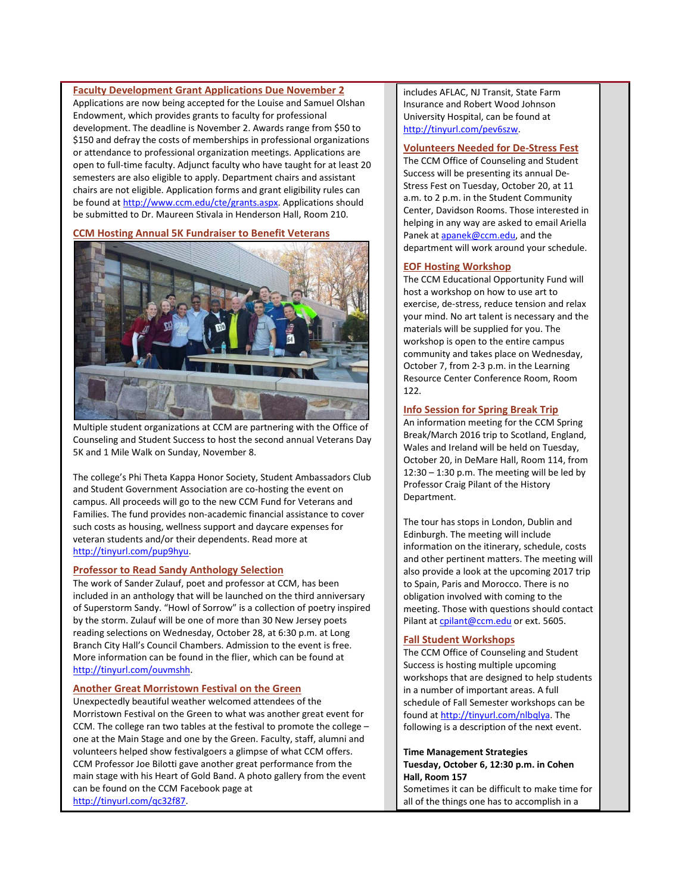<span id="page-1-0"></span>**Faculty Development Grant Applications Due November 2**

Applications are now being accepted for the Louise and Samuel Olshan Endowment, which provides grants to faculty for professional development. The deadline is November 2. Awards range from \$50 to \$150 and defray the costs of memberships in professional organizations or attendance to professional organization meetings. Applications are open to full-time faculty. Adjunct faculty who have taught for at least 20 semesters are also eligible to apply. Department chairs and assistant chairs are not eligible. Application forms and grant eligibility rules can be found at [http://www.ccm.edu/cte/grants.aspx.](http://www.ccm.edu/cte/grants.aspx) Applications should be submitted to Dr. Maureen Stivala in Henderson Hall, Room 210.

#### <span id="page-1-1"></span>**CCM Hosting Annual 5K Fundraiser to Benefit Veterans**



Multiple student organizations at CCM are partnering with the Office of Counseling and Student Success to host the second annual Veterans Day 5K and 1 Mile Walk on Sunday, November 8.

The college's Phi Theta Kappa Honor Society, Student Ambassadors Club and Student Government Association are co-hosting the event on campus. All proceeds will go to the new CCM Fund for Veterans and Families. The fund provides non-academic financial assistance to cover such costs as housing, wellness support and daycare expenses for veteran students and/or their dependents. Read more at [http://tinyurl.com/pup9hyu.](http://tinyurl.com/pup9hyu)

# <span id="page-1-2"></span>**Professor to Read Sandy Anthology Selection**

The work of Sander Zulauf, poet and professor at CCM, has been included in an anthology that will be launched on the third anniversary of Superstorm Sandy. "Howl of Sorrow" is a collection of poetry inspired by the storm. Zulauf will be one of more than 30 New Jersey poets reading selections on Wednesday, October 28, at 6:30 p.m. at Long Branch City Hall's Council Chambers. Admission to the event is free. More information can be found in the flier, which can be found at [http://tinyurl.com/ouvmshh.](http://tinyurl.com/ouvmshh) 

#### <span id="page-1-3"></span>**Another Great Morristown Festival on the Green**

Unexpectedly beautiful weather welcomed attendees of the Morristown Festival on the Green to what was another great event for CCM. The college ran two tables at the festival to promote the college – one at the Main Stage and one by the Green. Faculty, staff, alumni and volunteers helped show festivalgoers a glimpse of what CCM offers. CCM Professor Joe Bilotti gave another great performance from the main stage with his Heart of Gold Band. A photo gallery from the event can be found on the CCM Facebook page at [http://tinyurl.com/qc32f87.](http://tinyurl.com/qc32f87)

includes AFLAC, NJ Transit, State Farm Insurance and Robert Wood Johnson University Hospital, can be found at [http://tinyurl.com/pev6szw.](http://tinyurl.com/pev6szw)

#### **Volunteers Needed for De-Stress Fest**

The CCM Office of Counseling and Student Success will be presenting its annual De-Stress Fest on Tuesday, October 20, at 11 a.m. to 2 p.m. in the Student Community Center, Davidson Rooms. Those interested in helping in any way are asked to email Ariella Panek a[t apanek@ccm.edu,](mailto:apanek@ccm.edu) and the department will work around your schedule.

#### **EOF Hosting Workshop**

The CCM Educational Opportunity Fund will host a workshop on how to use art to exercise, de-stress, reduce tension and relax your mind. No art talent is necessary and the materials will be supplied for you. The workshop is open to the entire campus community and takes place on Wednesday, October 7, from 2-3 p.m. in the Learning Resource Center Conference Room, Room 122.

#### **Info Session for Spring Break Trip**

An information meeting for the CCM Spring Break/March 2016 trip to Scotland, England, Wales and Ireland will be held on Tuesday, October 20, in DeMare Hall, Room 114, from 12:30 – 1:30 p.m. The meeting will be led by Professor Craig Pilant of the History Department.

The tour has stops in London, Dublin and Edinburgh. The meeting will include information on the itinerary, schedule, costs and other pertinent matters. The meeting will also provide a look at the upcoming 2017 trip to Spain, Paris and Morocco. There is no obligation involved with coming to the meeting. Those with questions should contact Pilant at [cpilant@ccm.edu](mailto:cpilant@ccm.edu) or ext. 5605.

## **Fall Student Workshops**

The CCM Office of Counseling and Student Success is hosting multiple upcoming workshops that are designed to help students in a number of important areas. A full schedule of Fall Semester workshops can be found a[t http://tinyurl.com/nlbqlya.](http://tinyurl.com/nlbqlya) The following is a description of the next event.

# **Time Management Strategies Tuesday, October 6, 12:30 p.m. in Cohen Hall, Room 157**

Sometimes it can be difficult to make time for all of the things one has to accomplish in a